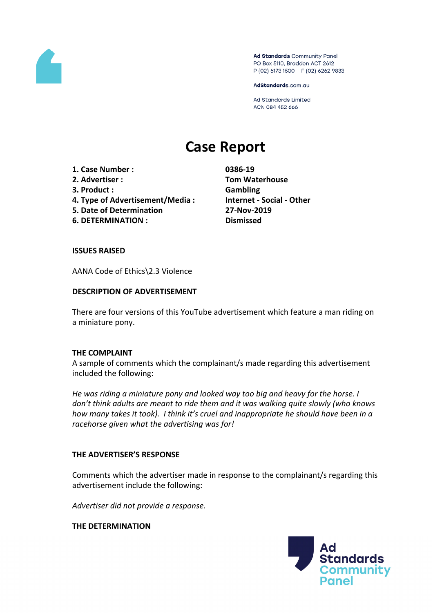

Ad Standards Community Panel PO Box 5110, Braddon ACT 2612 P (02) 6173 1500 | F (02) 6262 9833

AdStandards.com.au

Ad Standards Limited ACN 084 452 666

# **Case Report**

- **1. Case Number : 0386-19**
- 
- **3. Product : Gambling**
- **4. Type of Advertisement/Media : Internet - Social - Other**
- **5. Date of Determination 27-Nov-2019**
- **6. DETERMINATION : Dismissed**

**2. Advertiser : Tom Waterhouse**

### **ISSUES RAISED**

AANA Code of Ethics\2.3 Violence

### **DESCRIPTION OF ADVERTISEMENT**

There are four versions of this YouTube advertisement which feature a man riding on a miniature pony.

### **THE COMPLAINT**

A sample of comments which the complainant/s made regarding this advertisement included the following:

*He was riding a miniature pony and looked way too big and heavy for the horse. I don't think adults are meant to ride them and it was walking quite slowly (who knows how many takes it took). I think it's cruel and inappropriate he should have been in a racehorse given what the advertising was for!*

### **THE ADVERTISER'S RESPONSE**

Comments which the advertiser made in response to the complainant/s regarding this advertisement include the following:

*Advertiser did not provide a response.*

## **THE DETERMINATION**